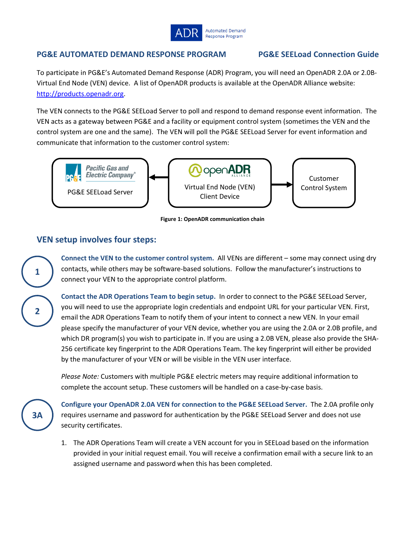

### **PG&E AUTOMATED DEMAND RESPONSE PROGRAM PG&E SEELoad Connection Guide**

To participate in PG&E's Automated Demand Response (ADR) Program, you will need an OpenADR 2.0A or 2.0B-Virtual End Node (VEN) device. A list of OpenADR products is available at the OpenADR Alliance website: [http://products.openadr.org.](http://products.openadr.org/)

The VEN connects to the PG&E SEELoad Server to poll and respond to demand response event information. The VEN acts as a gateway between PG&E and a facility or equipment control system (sometimes the VEN and the control system are one and the same). The VEN will poll the PG&E SEELoad Server for event information and communicate that information to the customer control system:



**Figure 1: OpenADR communication chain**

## **VEN setup involves four steps:**

**Connect the VEN to the customer control system.** All VENs are different – some may connect using dry contacts, while others may be software-based solutions. Follow the manufacturer's instructions to connect your VEN to the appropriate control platform.

**Contact the ADR Operations Team to begin setup.** In order to connect to the PG&E SEELoad Server, you will need to use the appropriate login credentials and endpoint URL for your particular VEN. First, email the ADR Operations Team to notify them of your intent to connect a new VEN. In your email please specify the manufacturer of your VEN device, whether you are using the 2.0A or 2.0B profile, and which DR program(s) you wish to participate in. If you are using a 2.0B VEN, please also provide the SHA-256 certificate key fingerprint to the ADR Operations Team. The key fingerprint will either be provided by the manufacturer of your VEN or will be visible in the VEN user interface.

*Please Note:* Customers with multiple PG&E electric meters may require additional information to complete the account setup. These customers will be handled on a case-by-case basis.



**1**

**2**

**Configure your OpenADR 2.0A VEN for connection to the PG&E SEELoad Server.** The 2.0A profile only requires username and password for authentication by the PG&E SEELoad Server and does not use security certificates.

1. The ADR Operations Team will create a VEN account for you in SEELoad based on the information provided in your initial request email. You will receive a confirmation email with a secure link to an assigned username and password when this has been completed.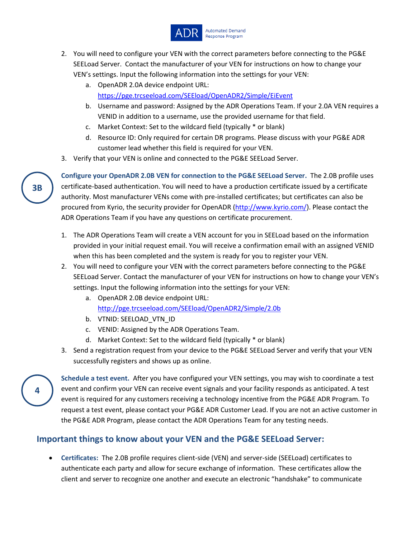

- 2. You will need to configure your VEN with the correct parameters before connecting to the PG&E SEELoad Server. Contact the manufacturer of your VEN for instructions on how to change your VEN's settings. Input the following information into the settings for your VEN:
	- a. OpenADR 2.0A device endpoint URL: <https://pge.trcseeload.com/SEEload/OpenADR2/Simple/EiEvent>
	- b. Username and password: Assigned by the ADR Operations Team. If your 2.0A VEN requires a VENID in addition to a username, use the provided username for that field.
	- c. Market Context: Set to the wildcard field (typically \* or blank)
	- d. Resource ID: Only required for certain DR programs. Please discuss with your PG&E ADR customer lead whether this field is required for your VEN.
- 3. Verify that your VEN is online and connected to the PG&E SEELoad Server.

**Configure your OpenADR 2.0B VEN for connection to the PG&E SEELoad Server.** The 2.0B profile uses certificate-based authentication. You will need to have a production certificate issued by a certificate authority. Most manufacturer VENs come with pre-installed certificates; but certificates can also be procured from Kyrio, the security provider for OpenADR [\(http://www.kyrio.com/\)](http://www.kyrio.com/). Please contact the ADR Operations Team if you have any questions on certificate procurement.

- 1. The ADR Operations Team will create a VEN account for you in SEELoad based on the information provided in your initial request email. You will receive a confirmation email with an assigned VENID when this has been completed and the system is ready for you to register your VEN.
- 2. You will need to configure your VEN with the correct parameters before connecting to the PG&E SEELoad Server. Contact the manufacturer of your VEN for instructions on how to change your VEN's settings. Input the following information into the settings for your VEN:
	- a. OpenADR 2.0B device endpoint URL: <http://pge.trcseeload.com/SEEload/OpenADR2/Simple/2.0b>
	- b. VTNID: SEELOAD\_VTN\_ID
	- c. VENID: Assigned by the ADR Operations Team.
	- d. Market Context: Set to the wildcard field (typically \* or blank)
- 3. Send a registration request from your device to the PG&E SEELoad Server and verify that your VEN successfully registers and shows up as online.

**Schedule a test event.** After you have configured your VEN settings, you may wish to coordinate a test event and confirm your VEN can receive event signals and your facility responds as anticipated. A test event is required for any customers receiving a technology incentive from the PG&E ADR Program. To request a test event, please contact your PG&E ADR Customer Lead. If you are not an active customer in the PG&E ADR Program, please contact the ADR Operations Team for any testing needs.

# **Important things to know about your VEN and the PG&E SEELoad Server:**

• **Certificates:** The 2.0B profile requires client-side (VEN) and server-side (SEELoad) certificates to authenticate each party and allow for secure exchange of information. These certificates allow the client and server to recognize one another and execute an electronic "handshake" to communicate

**3B**

**4**